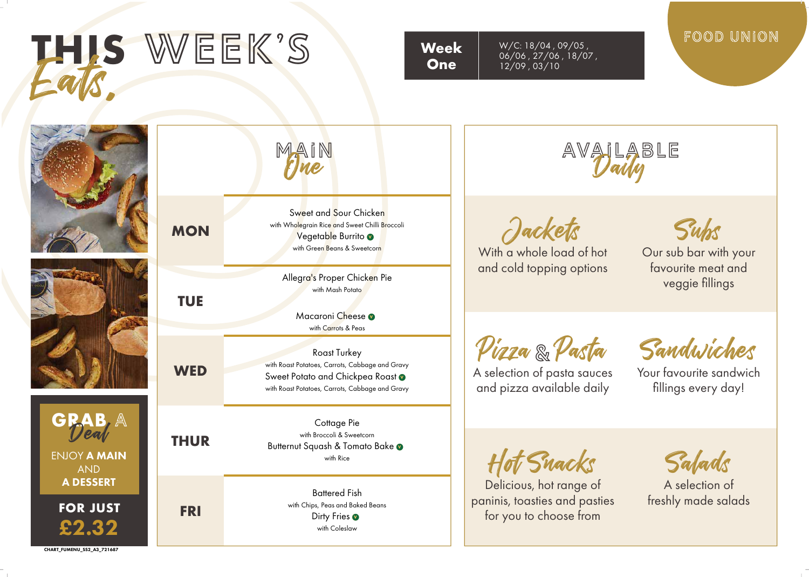

**CHART\_FUMENU\_SS2\_A3\_721687**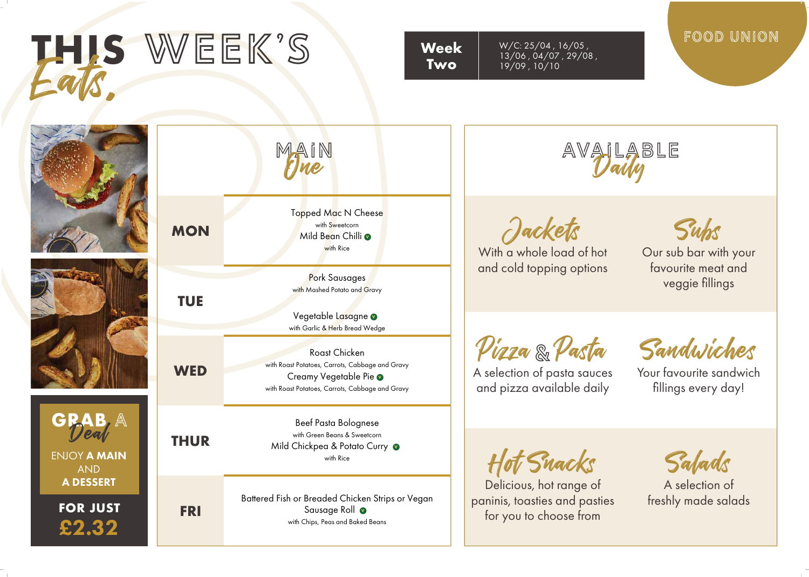